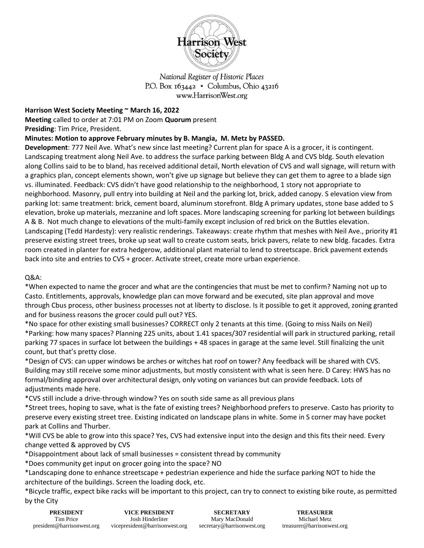

National Register of Historic Places P.O. Box  $163442 \cdot$  Columbus, Ohio  $43216$ www.HarrisonWest.org

## **Harrison West Society Meeting ~ March 16, 2022**

**Meeting** called to order at 7:01 PM on Zoom **Quorum** present **Presiding**: Tim Price, President.

**Minutes: Motion to approve February minutes by B. Mangia, M. Metz by PASSED.** 

**Development**: 777 Neil Ave. What's new since last meeting? Current plan for space A is a grocer, it is contingent. Landscaping treatment along Neil Ave. to address the surface parking between Bldg A and CVS bldg. South elevation along Collins said to be to bland, has received additional detail, North elevation of CVS and wall signage, will return with a graphics plan, concept elements shown, won't give up signage but believe they can get them to agree to a blade sign vs. illuminated. Feedback: CVS didn't have good relationship to the neighborhood, 1 story not appropriate to neighborhood. Masonry, pull entry into building at Neil and the parking lot, brick, added canopy. S elevation view from parking lot: same treatment: brick, cement board, aluminum storefront. Bldg A primary updates, stone base added to S elevation, broke up materials, mezzanine and loft spaces. More landscaping screening for parking lot between buildings A & B. Not much change to elevations of the multi-family except inclusion of red brick on the Buttles elevation. Landscaping (Tedd Hardesty): very realistic renderings. Takeaways: create rhythm that meshes with Neil Ave., priority #1 preserve existing street trees, broke up seat wall to create custom seats, brick pavers, relate to new bldg. facades. Extra room created in planter for extra hedgerow, additional plant material to lend to streetscape. Brick pavement extends back into site and entries to CVS + grocer. Activate street, create more urban experience.

## Q&A:

\*When expected to name the grocer and what are the contingencies that must be met to confirm? Naming not up to Casto. Entitlements, approvals, knowledge plan can move forward and be executed, site plan approval and move through Cbus process, other business processes not at liberty to disclose. Is it possible to get it approved, zoning granted and for business reasons the grocer could pull out? YES.

\*No space for other existing small businesses? CORRECT only 2 tenants at this time. (Going to miss Nails on Neil) \*Parking: how many spaces? Planning 225 units, about 1.41 spaces/307 residential will park in structured parking, retail parking 77 spaces in surface lot between the buildings + 48 spaces in garage at the same level. Still finalizing the unit count, but that's pretty close.

\*Design of CVS: can upper windows be arches or witches hat roof on tower? Any feedback will be shared with CVS. Building may still receive some minor adjustments, but mostly consistent with what is seen here. D Carey: HWS has no formal/binding approval over architectural design, only voting on variances but can provide feedback. Lots of adjustments made here.

\*CVS still include a drive-through window? Yes on south side same as all previous plans

\*Street trees, hoping to save, what is the fate of existing trees? Neighborhood prefers to preserve. Casto has priority to preserve every existing street tree. Existing indicated on landscape plans in white. Some in S corner may have pocket park at Collins and Thurber.

\*Will CVS be able to grow into this space? Yes, CVS had extensive input into the design and this fits their need. Every change vetted & approved by CVS

\*Disappointment about lack of small businesses = consistent thread by community

\*Does community get input on grocer going into the space? NO

\*Landscaping done to enhance streetscape + pedestrian experience and hide the surface parking NOT to hide the architecture of the buildings. Screen the loading dock, etc.

\*Bicycle traffic, expect bike racks will be important to this project, can try to connect to existing bike route, as permitted by the City

| <b>PRESIDENT</b>           | <b>VICE PRESIDENT</b>          | <b>SECRETARY</b>           | <b>TREASURER</b>     |
|----------------------------|--------------------------------|----------------------------|----------------------|
| Tim Price                  | Josh Hinderliter               | Mary MacDonald             | Michael Metz         |
| president@harrisonwest.org | vicepresident@harrisonwest.org | secretary@harrisonwest.org | treasurer@harrisonwe |

st.org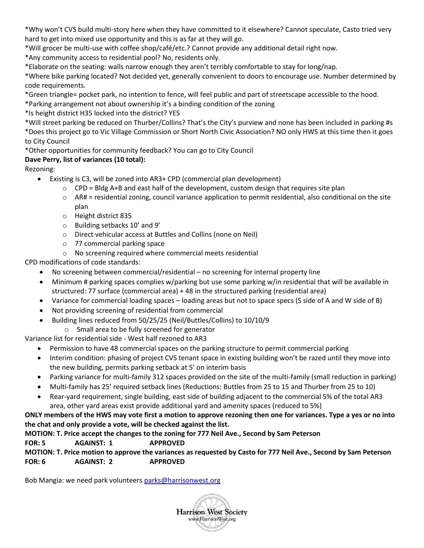\*Why won't CVS build multi-story here when they have committed to it elsewhere? Cannot speculate, Casto tried very hard to get into mixed use opportunity and this is as far at they will go.

\*Will grocer be multi-use with coffee shop/café/etc.? Cannot provide any additional detail right now.

\*Any community access to residential pool? No, residents only.

\*Elaborate on the seating: walls narrow enough they aren't terribly comfortable to stay for long/nap.

\*Where bike parking located? Not decided yet, generally convenient to doors to encourage use. Number determined by code requirements.

\*Green triangle= pocket park, no intention to fence, will feel public and part of streetscape accessible to the hood.

\*Parking arrangement not about ownership it's a binding condition of the zoning

\*Is height district H35 locked into the district? YES

\*Will street parking be reduced on Thurber/Collins? That's the City's purview and none has been included in parking #s \*Does this project go to Vic Village Commission or Short North Civic Association? NO only HWS at this time then it goes to City Council

\*Other opportunities for community feedback? You can go to City Council

# **Dave Perry, list of variances (10 total):**

Rezoning:

- Existing is C3, will be zoned into AR3+ CPD (commercial plan development)
	- $\circ$  CPD = Bldg A+B and east half of the development, custom design that requires site plan
	- $\circ$  AR# = residential zoning, council variance application to permit residential, also conditional on the site plan
	- o Height district 835
	- o Building setbacks 10' and 9'
	- o Direct vehicular access at Buttles and Collins (none on Neil)
	- o 77 commercial parking space
	- o No screening required where commercial meets residential

CPD modifications of code standards:

- No screening between commercial/residential no screening for internal property line
- Minimum # parking spaces complies w/parking but use some parking w/in residential that will be available in structured: 77 surface (commercial area) + 48 in the structured parking (residential area)
- Variance for commercial loading spaces loading areas but not to space specs (S side of A and W side of B)
- Not providing screening of residential from commercial
- Building lines reduced from 50/25/25 (Neil/Buttles/Collins) to 10/10/9
- o Small area to be fully screened for generator

Variance list for residential side - West half rezoned to AR3

- Permission to have 48 commercial spaces on the parking structure to permit commercial parking
- Interim condition: phasing of project CVS tenant space in existing building won't be razed until they move into the new building, permits parking setback at 5' on interim basis
- Parking variance for multi-family 312 spaces provided on the site of the multi-family (small reduction in parking)
- Multi-family has 25' required setback lines (Reductions: Buttles from 25 to 15 and Thurber from 25 to 10)
- Rear-yard requirement, single building, east side of building adjacent to the commercial 5% of the total AR3 area, other yard areas exist provide additional yard and amenity spaces (reduced to 5%)

## **ONLY members of the HWS may vote first a motion to approve rezoning then one for variances. Type a yes or no into the chat and only provide a vote, will be checked against the list.**

#### **MOTION: T. Price accept the changes to the zoning for 777 Neil Ave., Second by Sam Peterson FOR: 5 AGAINST: 1 APPROVED**

**MOTION: T. Price motion to approve the variances as requested by Casto for 777 Neil Ave., Second by Sam Peterson FOR: 6 AGAINST: 2 APPROVED**

Bob Mangia: we need park volunteers [parks@harrisonwest.org](mailto:parks@harrisonwest.org)

**Harrison West Society** www.HarrisonWest.org